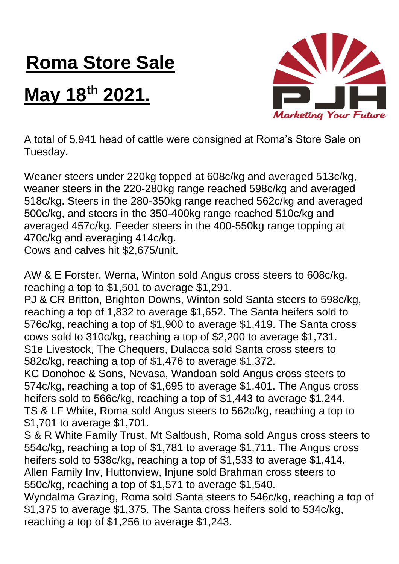## **Roma Store Sale**

## **May 18 th 2021.**



A total of 5,941 head of cattle were consigned at Roma's Store Sale on Tuesday.

Weaner steers under 220kg topped at 608c/kg and averaged 513c/kg, weaner steers in the 220-280kg range reached 598c/kg and averaged 518c/kg. Steers in the 280-350kg range reached 562c/kg and averaged 500c/kg, and steers in the 350-400kg range reached 510c/kg and averaged 457c/kg. Feeder steers in the 400-550kg range topping at 470c/kg and averaging 414c/kg.

Cows and calves hit \$2,675/unit.

AW & E Forster, Werna, Winton sold Angus cross steers to 608c/kg, reaching a top to \$1,501 to average \$1,291.

PJ & CR Britton, Brighton Downs, Winton sold Santa steers to 598c/kg, reaching a top of 1,832 to average \$1,652. The Santa heifers sold to 576c/kg, reaching a top of \$1,900 to average \$1,419. The Santa cross cows sold to 310c/kg, reaching a top of \$2,200 to average \$1,731. S1e Livestock, The Chequers, Dulacca sold Santa cross steers to 582c/kg, reaching a top of \$1,476 to average \$1,372.

KC Donohoe & Sons, Nevasa, Wandoan sold Angus cross steers to 574c/kg, reaching a top of \$1,695 to average \$1,401. The Angus cross heifers sold to 566c/kg, reaching a top of \$1,443 to average \$1,244. TS & LF White, Roma sold Angus steers to 562c/kg, reaching a top to \$1,701 to average \$1,701.

S & R White Family Trust, Mt Saltbush, Roma sold Angus cross steers to 554c/kg, reaching a top of \$1,781 to average \$1,711. The Angus cross heifers sold to 538c/kg, reaching a top of \$1,533 to average \$1,414. Allen Family Inv, Huttonview, Injune sold Brahman cross steers to 550c/kg, reaching a top of \$1,571 to average \$1,540.

Wyndalma Grazing, Roma sold Santa steers to 546c/kg, reaching a top of \$1,375 to average \$1,375. The Santa cross heifers sold to 534c/kg, reaching a top of \$1,256 to average \$1,243.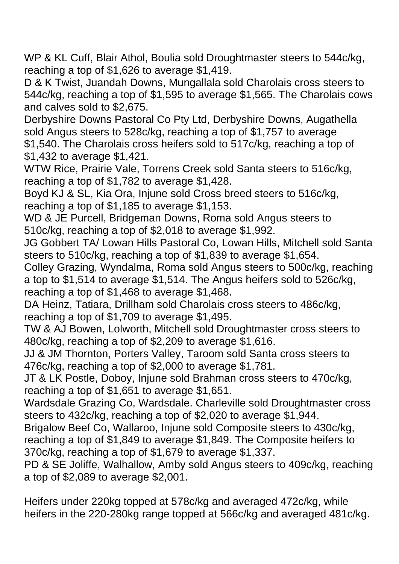WP & KL Cuff, Blair Athol, Boulia sold Droughtmaster steers to 544c/kg, reaching a top of \$1,626 to average \$1,419.

D & K Twist, Juandah Downs, Mungallala sold Charolais cross steers to 544c/kg, reaching a top of \$1,595 to average \$1,565. The Charolais cows and calves sold to \$2,675.

Derbyshire Downs Pastoral Co Pty Ltd, Derbyshire Downs, Augathella sold Angus steers to 528c/kg, reaching a top of \$1,757 to average \$1,540. The Charolais cross heifers sold to 517c/kg, reaching a top of \$1,432 to average \$1,421.

WTW Rice, Prairie Vale, Torrens Creek sold Santa steers to 516c/kg, reaching a top of \$1,782 to average \$1,428.

Boyd KJ & SL, Kia Ora, Injune sold Cross breed steers to 516c/kg, reaching a top of \$1,185 to average \$1,153.

WD & JE Purcell, Bridgeman Downs, Roma sold Angus steers to 510c/kg, reaching a top of \$2,018 to average \$1,992.

JG Gobbert TA/ Lowan Hills Pastoral Co, Lowan Hills, Mitchell sold Santa steers to 510c/kg, reaching a top of \$1,839 to average \$1,654.

Colley Grazing, Wyndalma, Roma sold Angus steers to 500c/kg, reaching a top to \$1,514 to average \$1,514. The Angus heifers sold to 526c/kg, reaching a top of \$1,468 to average \$1,468.

DA Heinz, Tatiara, Drillham sold Charolais cross steers to 486c/kg, reaching a top of \$1,709 to average \$1,495.

TW & AJ Bowen, Lolworth, Mitchell sold Droughtmaster cross steers to 480c/kg, reaching a top of \$2,209 to average \$1,616.

JJ & JM Thornton, Porters Valley, Taroom sold Santa cross steers to 476c/kg, reaching a top of \$2,000 to average \$1,781.

JT & LK Postle, Doboy, Injune sold Brahman cross steers to 470c/kg, reaching a top of \$1,651 to average \$1,651.

Wardsdale Grazing Co, Wardsdale. Charleville sold Droughtmaster cross steers to 432c/kg, reaching a top of \$2,020 to average \$1,944.

Brigalow Beef Co, Wallaroo, Injune sold Composite steers to 430c/kg, reaching a top of \$1,849 to average \$1,849. The Composite heifers to 370c/kg, reaching a top of \$1,679 to average \$1,337.

PD & SE Joliffe, Walhallow, Amby sold Angus steers to 409c/kg, reaching a top of \$2,089 to average \$2,001.

Heifers under 220kg topped at 578c/kg and averaged 472c/kg, while heifers in the 220-280kg range topped at 566c/kg and averaged 481c/kg.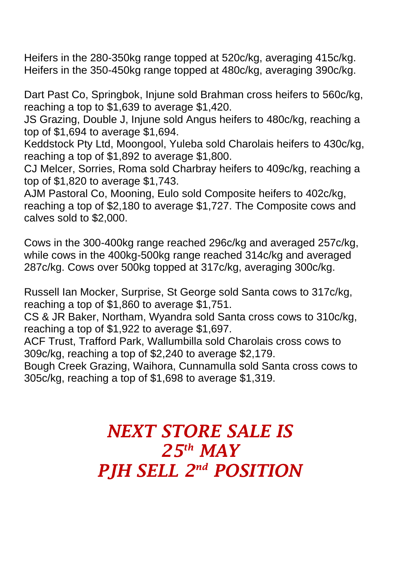Heifers in the 280-350kg range topped at 520c/kg, averaging 415c/kg. Heifers in the 350-450kg range topped at 480c/kg, averaging 390c/kg.

Dart Past Co, Springbok, Injune sold Brahman cross heifers to 560c/kg, reaching a top to \$1,639 to average \$1,420.

JS Grazing, Double J, Injune sold Angus heifers to 480c/kg, reaching a top of \$1,694 to average \$1,694.

Keddstock Pty Ltd, Moongool, Yuleba sold Charolais heifers to 430c/kg, reaching a top of \$1,892 to average \$1,800.

CJ Melcer, Sorries, Roma sold Charbray heifers to 409c/kg, reaching a top of \$1,820 to average \$1,743.

AJM Pastoral Co, Mooning, Eulo sold Composite heifers to 402c/kg, reaching a top of \$2,180 to average \$1,727. The Composite cows and calves sold to \$2,000.

Cows in the 300-400kg range reached 296c/kg and averaged 257c/kg, while cows in the 400kg-500kg range reached 314c/kg and averaged 287c/kg. Cows over 500kg topped at 317c/kg, averaging 300c/kg.

Russell Ian Mocker, Surprise, St George sold Santa cows to 317c/kg, reaching a top of \$1,860 to average \$1,751.

CS & JR Baker, Northam, Wyandra sold Santa cross cows to 310c/kg, reaching a top of \$1,922 to average \$1,697.

ACF Trust, Trafford Park, Wallumbilla sold Charolais cross cows to 309c/kg, reaching a top of \$2,240 to average \$2,179.

Bough Creek Grazing, Waihora, Cunnamulla sold Santa cross cows to 305c/kg, reaching a top of \$1,698 to average \$1,319.

## *NEXT STORE SALE IS 25th MAY PJH SELL 2 nd POSITION*